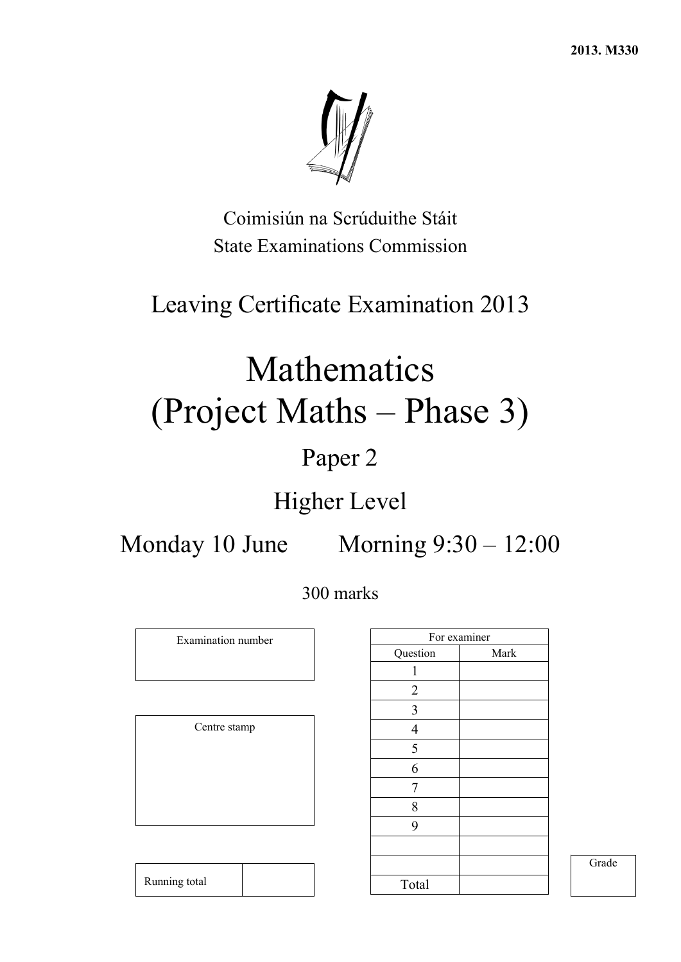**2013. M330** 



Coimisiún na Scrúduithe Stáit State Examinations Commission

## Leaving Certificate Examination 2013

# Mathematics (Project Maths – Phase 3)

## Paper 2

## Higher Level

Monday 10 June Morning 9:30 – 12:00

300 marks

Examination number

Centre stamp

Running total

|                         | For examiner |
|-------------------------|--------------|
| Question                | Mark         |
| 1                       |              |
| $\overline{2}$          |              |
| $\overline{\mathbf{3}}$ |              |
| $\overline{4}$          |              |
| 5                       |              |
| 6                       |              |
| 7                       |              |
| 8                       |              |
| 9                       |              |
|                         |              |
|                         |              |
| Total                   |              |

Grade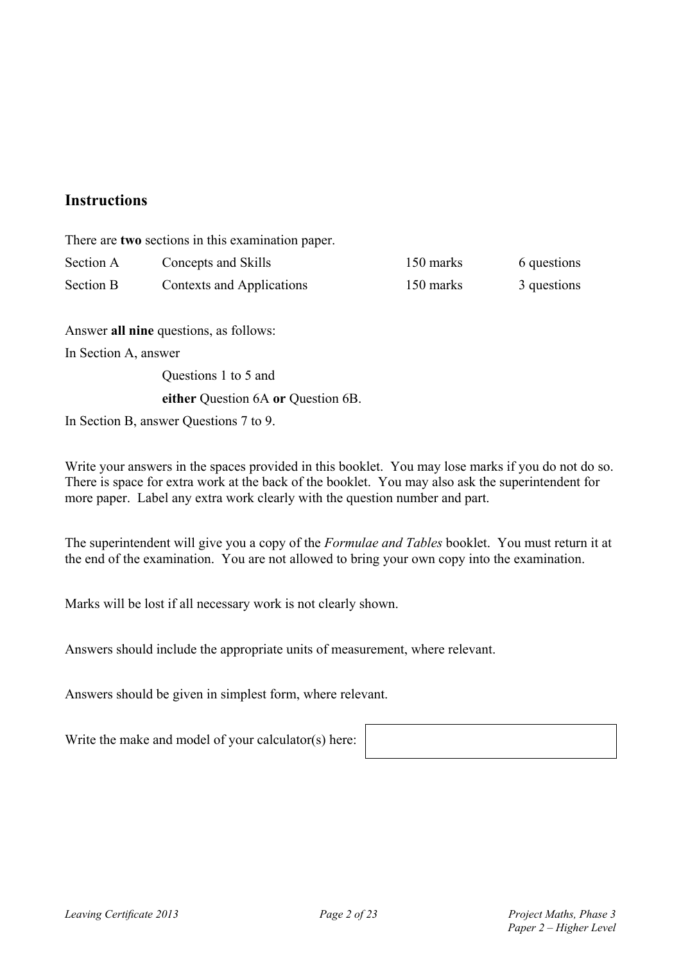#### **Instructions**

There are **two** sections in this examination paper.

| Section A        | Concepts and Skills       | 150 marks | 6 questions |
|------------------|---------------------------|-----------|-------------|
| <b>Section B</b> | Contexts and Applications | 150 marks | 3 questions |

Answer **all nine** questions, as follows:

In Section A, answer

Questions 1 to 5 and

#### **either** Question 6A **or** Question 6B.

In Section B, answer Questions 7 to 9.

Write your answers in the spaces provided in this booklet. You may lose marks if you do not do so. There is space for extra work at the back of the booklet. You may also ask the superintendent for more paper. Label any extra work clearly with the question number and part.

The superintendent will give you a copy of the *Formulae and Tables* booklet. You must return it at the end of the examination. You are not allowed to bring your own copy into the examination.

Marks will be lost if all necessary work is not clearly shown.

Answers should include the appropriate units of measurement, where relevant.

Answers should be given in simplest form, where relevant.

Write the make and model of your calculator(s) here: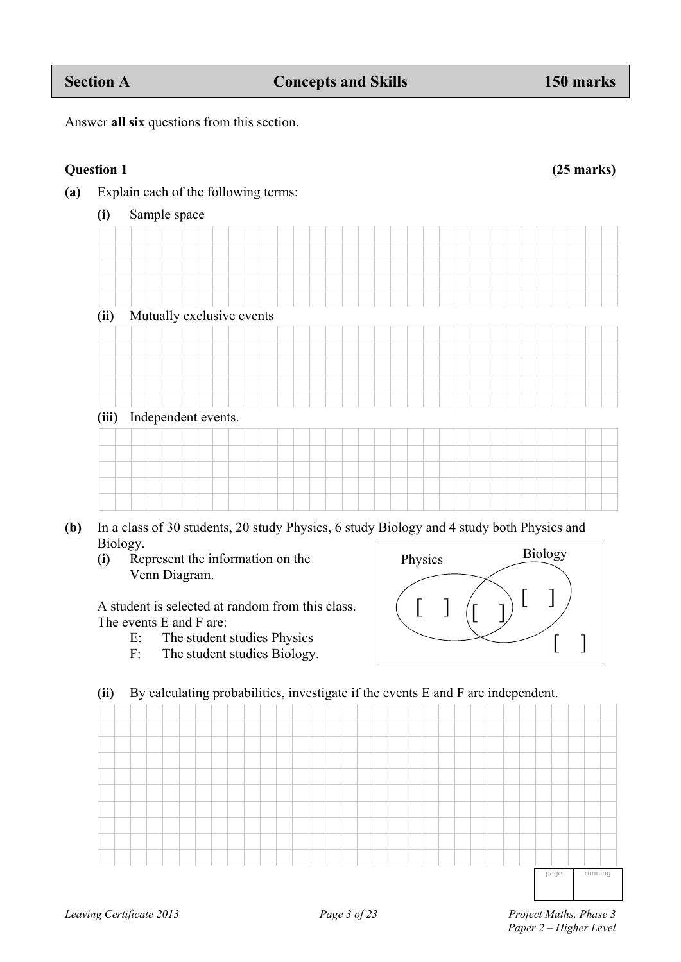| (ii)  |  | Mutually exclusive events |  |  |  |  |  |  |  |  |  |  |
|-------|--|---------------------------|--|--|--|--|--|--|--|--|--|--|
|       |  |                           |  |  |  |  |  |  |  |  |  |  |
|       |  |                           |  |  |  |  |  |  |  |  |  |  |
|       |  |                           |  |  |  |  |  |  |  |  |  |  |
|       |  |                           |  |  |  |  |  |  |  |  |  |  |
|       |  |                           |  |  |  |  |  |  |  |  |  |  |
| (iii) |  | Independent events.       |  |  |  |  |  |  |  |  |  |  |
|       |  |                           |  |  |  |  |  |  |  |  |  |  |
|       |  |                           |  |  |  |  |  |  |  |  |  |  |
|       |  |                           |  |  |  |  |  |  |  |  |  |  |
|       |  |                           |  |  |  |  |  |  |  |  |  |  |
|       |  |                           |  |  |  |  |  |  |  |  |  |  |

- **(b)** In a class of 30 students, 20 study Physics, 6 study Biology and 4 study both Physics and Biology. Physics Biology
	- **(i)** Represent the information on the Venn Diagram.

 A student is selected at random from this class. The events E and F are:

- E: The student studies Physics
- F: The student studies Biology.

### **(ii)** By calculating probabilities, investigate if the events E and F are independent.

page running

 $\lceil \; \rceil$ 

 $\begin{pmatrix} 1 & 1 \end{pmatrix}$   $\begin{pmatrix} 1 & 1 \end{pmatrix}$ 

Answer **all six** questions from this section.

**(a)** Explain each of the following terms:

**(i)** Sample space

**Question 1 (25 marks)**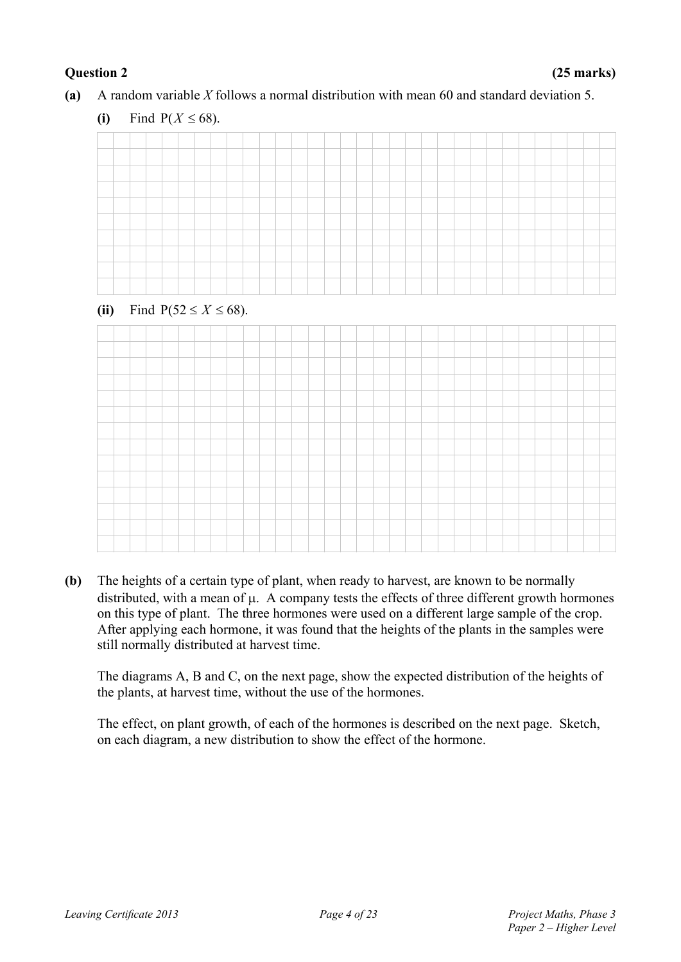**(a)** A random variable *X* follows a normal distribution with mean 60 and standard deviation 5.

#### (ii) Find  $P(52 \le X \le 68)$ .



**(b)** The heights of a certain type of plant, when ready to harvest, are known to be normally distributed, with a mean of  $\mu$ . A company tests the effects of three different growth hormones on this type of plant. The three hormones were used on a different large sample of the crop. After applying each hormone, it was found that the heights of the plants in the samples were still normally distributed at harvest time.

The diagrams A, B and C, on the next page, show the expected distribution of the heights of the plants, at harvest time, without the use of the hormones.

The effect, on plant growth, of each of the hormones is described on the next page. Sketch, on each diagram, a new distribution to show the effect of the hormone.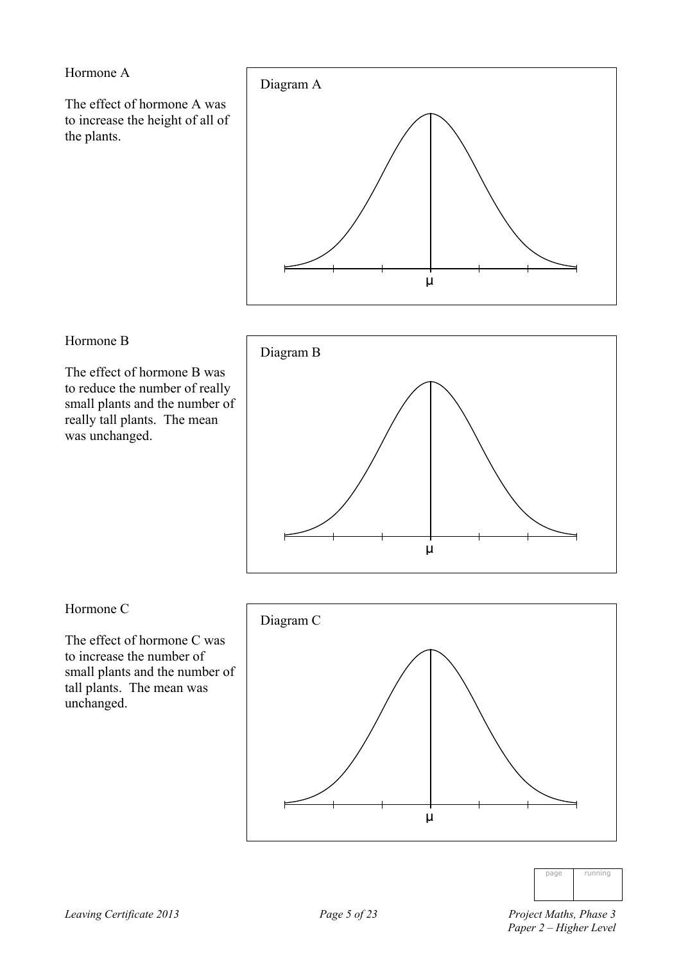Hormone A

The effect of hormone A was to increase the height of all of the plants.



#### Hormone B

The effect of hormone B was to reduce the number of really small plants and the number of really tall plants. The mean was unchanged.



#### Hormone C

The effect of hormone C was to increase the number of small plants and the number of tall plants. The mean was unchanged.





 *Paper 2 – Higher Level*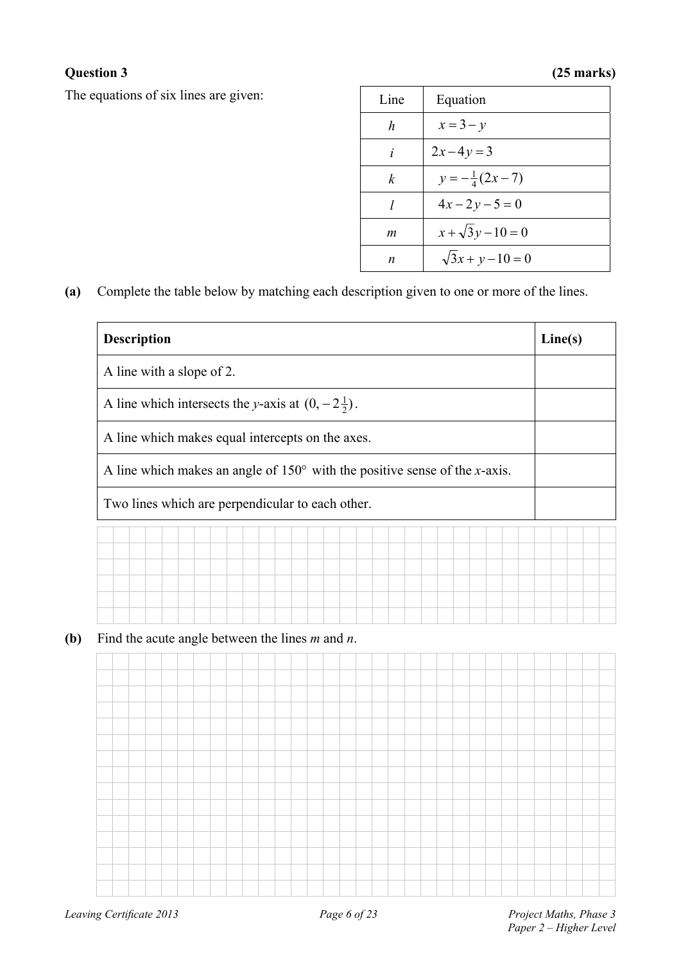### **Question 3 (25 marks)**

The equations of six lines are given:

| Line | Equation                 |
|------|--------------------------|
| h    | $x=3-y$                  |
| i    | $2x-4y=3$                |
| k    | $y = -\frac{1}{4}(2x-7)$ |
| 1    | $4x-2y-5=0$              |
| m    | $x + \sqrt{3}y - 10 = 0$ |
| n    | $\sqrt{3x + y - 10} = 0$ |

**(a)** Complete the table below by matching each description given to one or more of the lines.

| <b>Description</b>                                                                                                                      |  |  |  |  |  |  |  |  |  |  |  | Line(s) |  |
|-----------------------------------------------------------------------------------------------------------------------------------------|--|--|--|--|--|--|--|--|--|--|--|---------|--|
| A line with a slope of 2.                                                                                                               |  |  |  |  |  |  |  |  |  |  |  |         |  |
|                                                                                                                                         |  |  |  |  |  |  |  |  |  |  |  |         |  |
| A line which intersects the y-axis at $(0, -2\frac{1}{2})$ .                                                                            |  |  |  |  |  |  |  |  |  |  |  |         |  |
| A line which makes equal intercepts on the axes.<br>A line which makes an angle of $150^{\circ}$ with the positive sense of the x-axis. |  |  |  |  |  |  |  |  |  |  |  |         |  |
| Two lines which are perpendicular to each other.                                                                                        |  |  |  |  |  |  |  |  |  |  |  |         |  |
|                                                                                                                                         |  |  |  |  |  |  |  |  |  |  |  |         |  |
|                                                                                                                                         |  |  |  |  |  |  |  |  |  |  |  |         |  |
|                                                                                                                                         |  |  |  |  |  |  |  |  |  |  |  |         |  |
|                                                                                                                                         |  |  |  |  |  |  |  |  |  |  |  |         |  |
|                                                                                                                                         |  |  |  |  |  |  |  |  |  |  |  |         |  |
| Find the acute angle between the lines $m$ and $n$ .                                                                                    |  |  |  |  |  |  |  |  |  |  |  |         |  |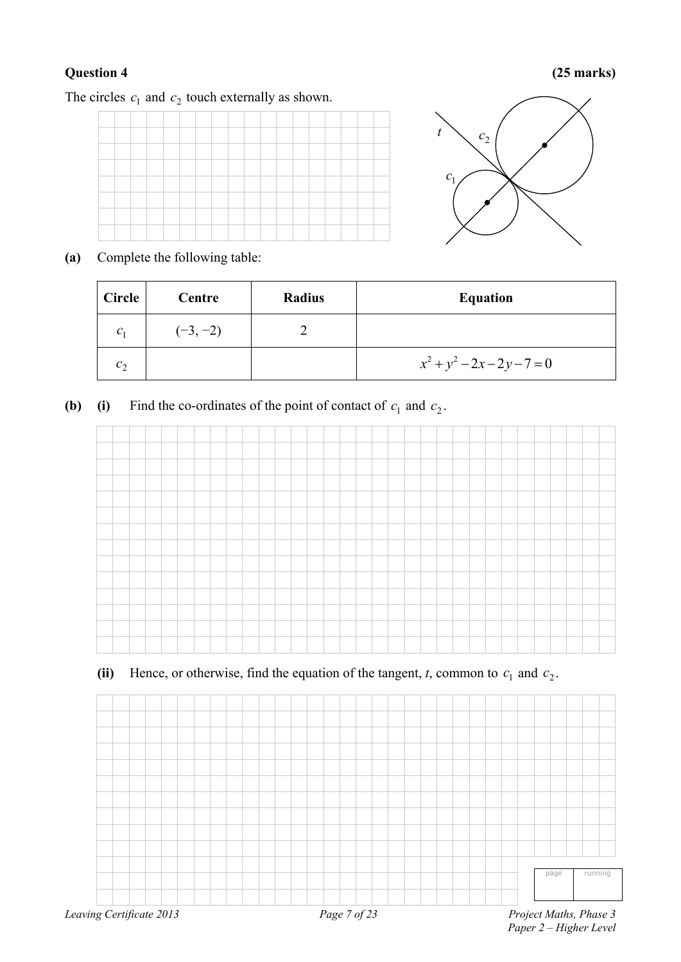#### **Question 4 (25 marks)**

The circles  $c_1$  and  $c_2$  touch externally as shown.





**(a)** Complete the following table:

| Circle  | Centre     | Radius | <b>Equation</b>               |
|---------|------------|--------|-------------------------------|
| $C_1$   | $(-3, -2)$ |        |                               |
| $c_{2}$ |            |        | $x^2 + y^2 - 2x - 2y - 7 = 0$ |

**(b) (i)** Find the co-ordinates of the point of contact of  $c_1$  and  $c_2$ .



### (ii) Hence, or otherwise, find the equation of the tangent,  $t$ , common to  $c_1$  and  $c_2$ .

|                          |  |  |  |  |  |  |  |              |  |  |  |  |  |  | page | running                |
|--------------------------|--|--|--|--|--|--|--|--------------|--|--|--|--|--|--|------|------------------------|
|                          |  |  |  |  |  |  |  |              |  |  |  |  |  |  |      |                        |
| Leaving Certificate 2013 |  |  |  |  |  |  |  | Page 7 of 23 |  |  |  |  |  |  |      | Project Maths, Phase 3 |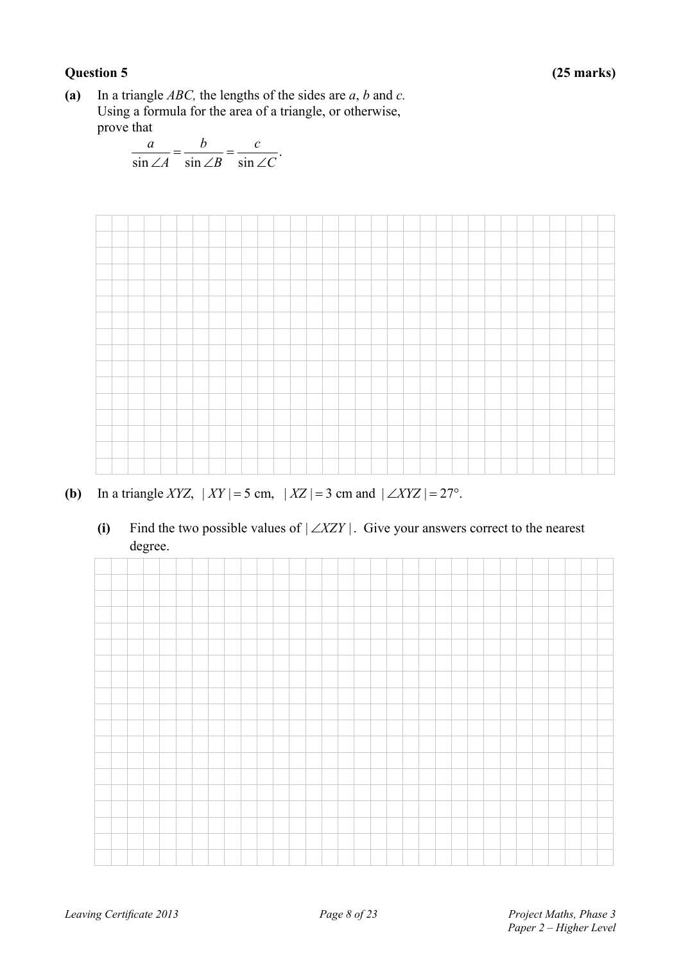#### **Question 5 (25 marks)**

**(a)** In a triangle *ABC,* the lengths of the sides are *a*, *b* and *c.* Using a formula for the area of a triangle, or otherwise, prove that

$$
\frac{a}{\sin \angle A} = \frac{b}{\sin \angle B} = \frac{c}{\sin \angle C}.
$$



- **(b)** In a triangle *XYZ*,  $|XY| = 5$  cm,  $|XZ| = 3$  cm and  $| \angle XYZ| = 27^\circ$ .
	- (i) Find the two possible values of  $|\angle XZY|$ . Give your answers correct to the nearest degree.

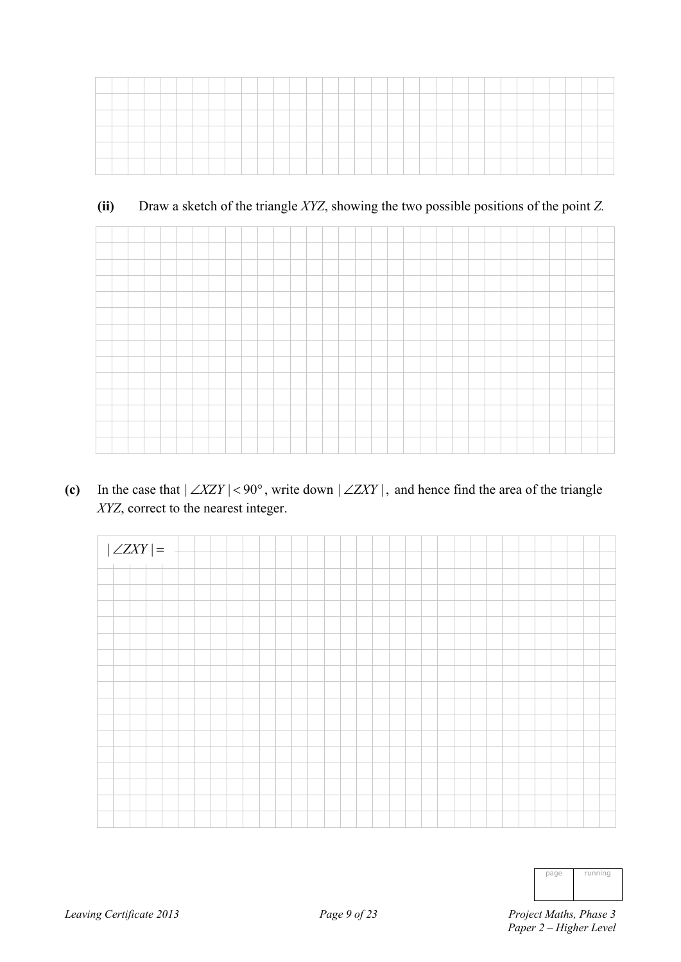| ____ |  |  |  |  |  |  |  |  |  |  |  |  |  |  |  |  |
|------|--|--|--|--|--|--|--|--|--|--|--|--|--|--|--|--|
|      |  |  |  |  |  |  |  |  |  |  |  |  |  |  |  |  |
|      |  |  |  |  |  |  |  |  |  |  |  |  |  |  |  |  |
|      |  |  |  |  |  |  |  |  |  |  |  |  |  |  |  |  |
|      |  |  |  |  |  |  |  |  |  |  |  |  |  |  |  |  |
|      |  |  |  |  |  |  |  |  |  |  |  |  |  |  |  |  |

#### **(ii)** Draw a sketch of the triangle *XYZ*, showing the two possible positions of the point *Z.*

(c) In the case that  $|\angle XZY|$  < 90°, write down  $|\angle ZXY|$ , and hence find the area of the triangle *XYZ*, correct to the nearest integer.



| page | running |
|------|---------|
|      |         |
|      |         |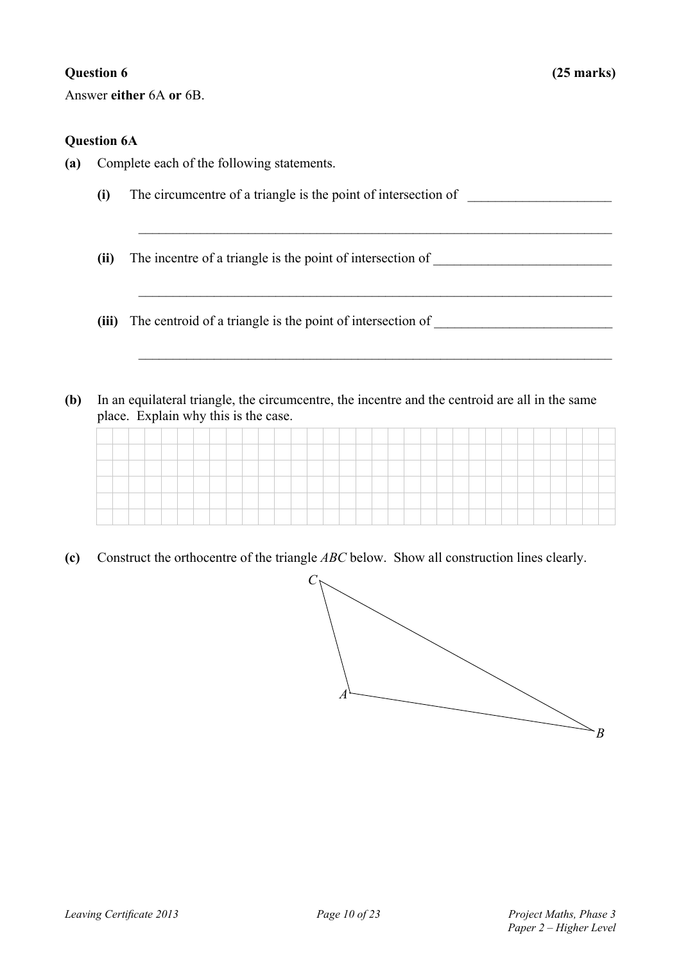Answer **either** 6A **or** 6B.

#### **Question 6A**

- **(a)** Complete each of the following statements.
	- **(i)** The circumcentre of a triangle is the point of intersection of \_\_\_\_\_\_\_\_\_\_\_\_\_\_\_\_\_\_\_\_\_

 $\_$  , and the contribution of the contribution of  $\mathcal{L}_\mathcal{A}$  , and the contribution of  $\mathcal{L}_\mathcal{A}$ 

 $\_$  , and the contribution of the contribution of  $\mathcal{L}_\mathcal{A}$  , and the contribution of  $\mathcal{L}_\mathcal{A}$ 

 $\mathcal{L}_\text{max} = \frac{1}{2} \sum_{i=1}^n \mathcal{L}_\text{max}(\mathbf{z}_i - \mathbf{z}_i)$ 

- **(ii)** The incentre of a triangle is the point of intersection of \_\_\_\_\_\_\_\_\_\_\_\_\_\_\_\_\_\_\_\_\_\_\_\_\_\_
- **(iii)** The centroid of a triangle is the point of intersection of
- **(b)** In an equilateral triangle, the circumcentre, the incentre and the centroid are all in the same place. Explain why this is the case.

**(c)** Construct the orthocentre of the triangle *ABC* below. Show all construction lines clearly.

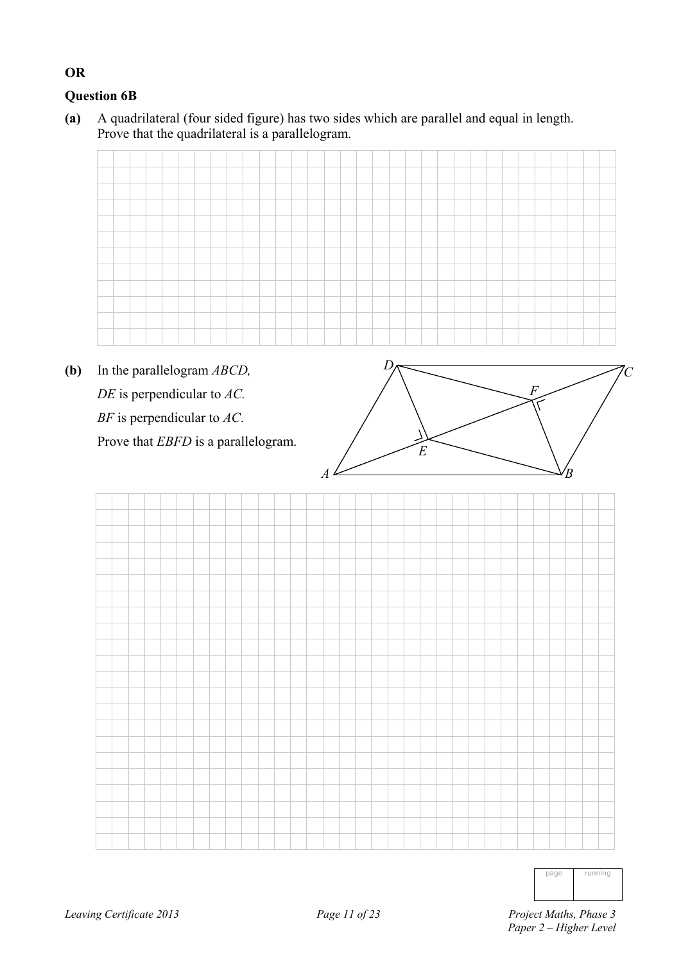### **Question 6B**

**OR** 

**(a)** A quadrilateral (four sided figure) has two sides which are parallel and equal in length. Prove that the quadrilateral is a parallelogram.

**(b)** In the parallelogram *ABCD, DE* is perpendicular to *AC. BF* is perpendicular to *AC*. Prove that *EBFD* is a parallelogram.



| nni<br>ΊJ<br>п<br>I |
|---------------------|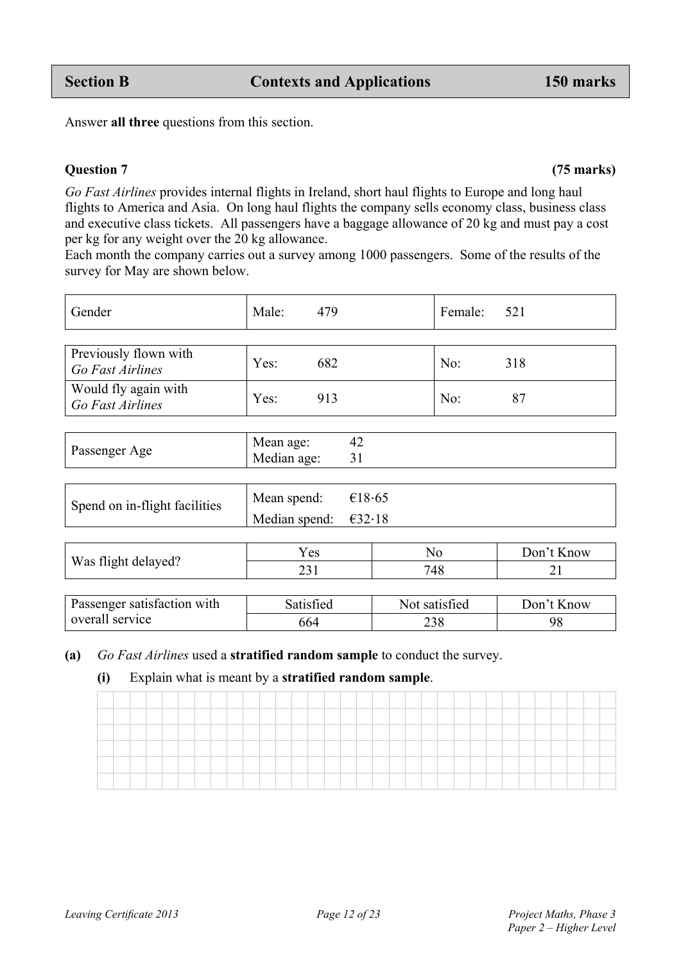Previously flown with

| Spend on in-flight facilities | Mean spend: $\epsilon$ 18.65   |  |
|-------------------------------|--------------------------------|--|
|                               | Median spend: $\epsilon$ 32.18 |  |

|                     | Y es | No  | Don't Know |
|---------------------|------|-----|------------|
| Was flight delayed? | ົ    | 710 | ∽          |
|                     |      | 40  |            |

| <b>Passenger satisfaction with</b> | Satisfied | Not satisfied | Don't Know |
|------------------------------------|-----------|---------------|------------|
| overall service                    | 664       |               |            |

### **(a)** *Go Fast Airlines* used a **stratified random sample** to conduct the survey.

### **(i)** Explain what is meant by a **stratified random sample**.

Passenger Age Mean age: 42<br>Median age: 31

*Go Fast Airlines* provides internal flights in Ireland, short haul flights to Europe and long haul flights to America and Asia. On long haul flights the company sells economy class, business class and executive class tickets. All passengers have a baggage allowance of 20 kg and must pay a cost per kg for any weight over the 20 kg allowance.

Each month the company carries out a survey among 1000 passengers. Some of the results of the survey for May are shown below.

Gender Male: 479 Female: 521

*Go Fast Airlines* **Yes:** 682 No: 318

Median age:

# Answer **all three** questions from this section.

#### **Question 7 (75 marks)**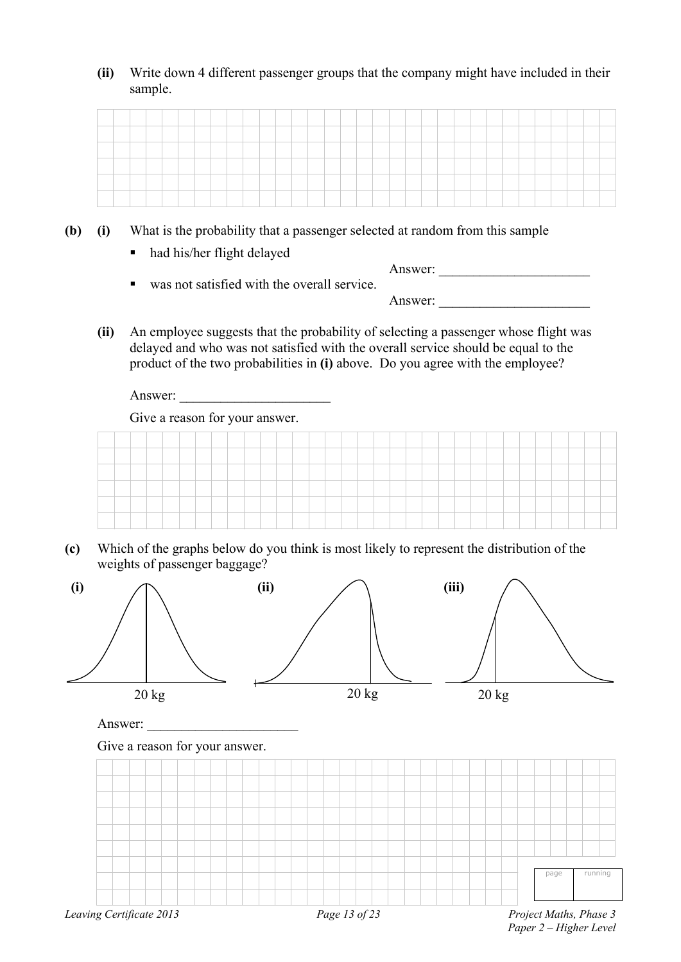**(ii)** Write down 4 different passenger groups that the company might have included in their sample.

- **(b) (i)** What is the probability that a passenger selected at random from this sample
	- had his/her flight delayed

| $\blacksquare$ | was not satisfied with the overall service. | Answer: |  |
|----------------|---------------------------------------------|---------|--|
|                |                                             | Answer: |  |

**(ii)** An employee suggests that the probability of selecting a passenger whose flight was delayed and who was not satisfied with the overall service should be equal to the product of the two probabilities in **(i)** above. Do you agree with the employee?

Answer:

Give a reason for your answer.



**(c)** Which of the graphs below do you think is most likely to represent the distribution of the weights of passenger baggage?



 *Paper 2 – Higher Level*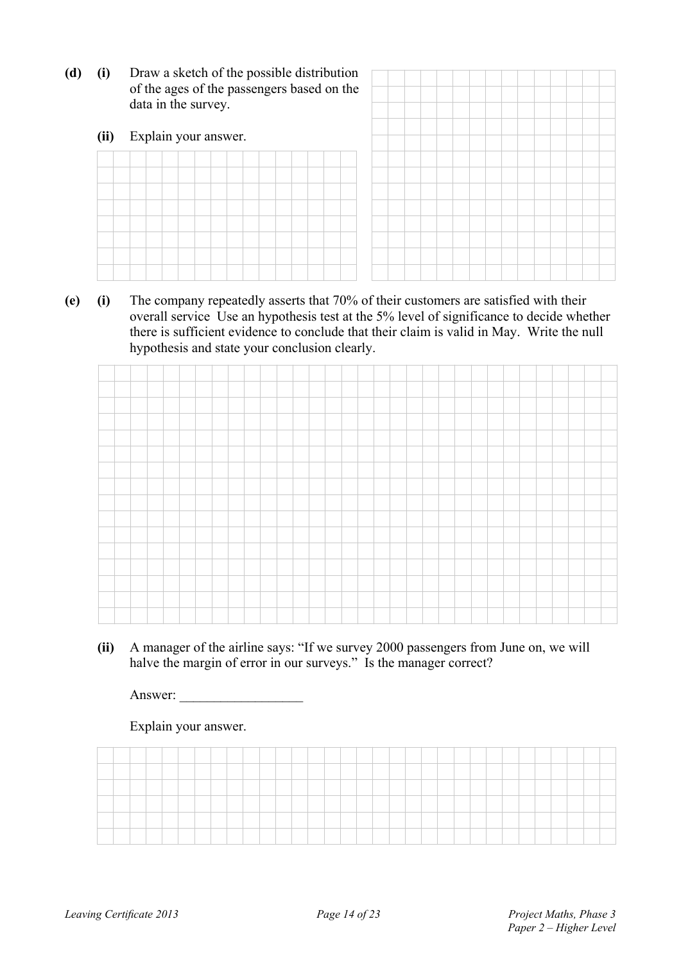**(d) (i)** Draw a sketch of the possible distribution of the ages of the pas data in the survey.

|  |  |  | data in the survey. | Explain your answer. |  |  |  | of the ages of the passengers based on the |  |  |  |  |  |  | Draw a sketch of the possible distribution |
|--|--|--|---------------------|----------------------|--|--|--|--------------------------------------------|--|--|--|--|--|--|--------------------------------------------|

**(e) (i)** The company repeatedly asserts that 70% of their customers are satisfied with their overall service Use an hypothesis test at the 5% level of significance to decide whether there is sufficient evidence to conclude that their claim is valid in May. Write the null hypothesis and state your conclusion clearly.

**(ii)** A manager of the airline says: "If we survey 2000 passengers from June on, we will halve the margin of error in our surveys." Is the manager correct?

Answer: \_\_\_\_\_\_\_\_\_\_\_\_\_\_\_\_\_\_

Explain your answer.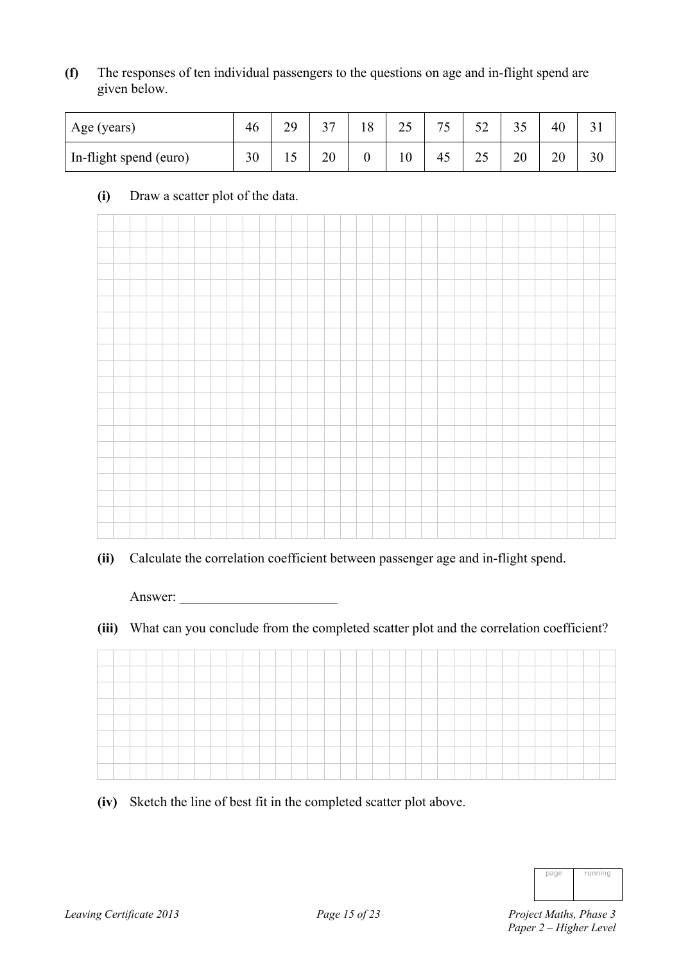**(f)** The responses of ten individual passengers to the questions on age and in-flight spend are given below.

| Age (years)            | 46 | 20<br>ر ب | $\sim$ | 8 | າເ<br>ں کے | 75 | $\sim$<br>◡▵ | ر ر | 40 |    |
|------------------------|----|-----------|--------|---|------------|----|--------------|-----|----|----|
| In-flight spend (euro) | 30 |           | 20     |   | 10         | 45 | ل کے         | 20  | 20 | 30 |

#### **(i)** Draw a scatter plot of the data.



**(ii)** Calculate the correlation coefficient between passenger age and in-flight spend.

Answer:

**(iii)** What can you conclude from the completed scatter plot and the correlation coefficient?

**(iv)** Sketch the line of best fit in the completed scatter plot above.

| page | running |
|------|---------|
|      |         |
|      |         |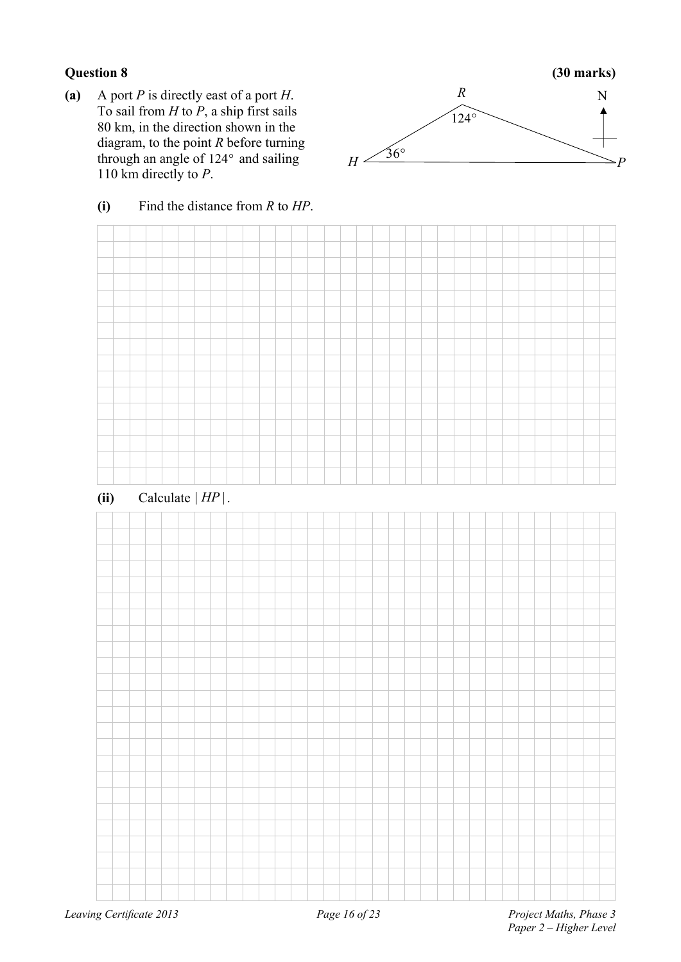**(a)** A port *P* is directly east of a port *H*. To sail from *H* to *P*, a ship first sails 80 km, in the direction shown in the diagram, to the point *R* before turning through an angle of  $124^\circ$  and sailing 110 km directly to *P*.



#### **(i)** Find the distance from *R* to *HP*.

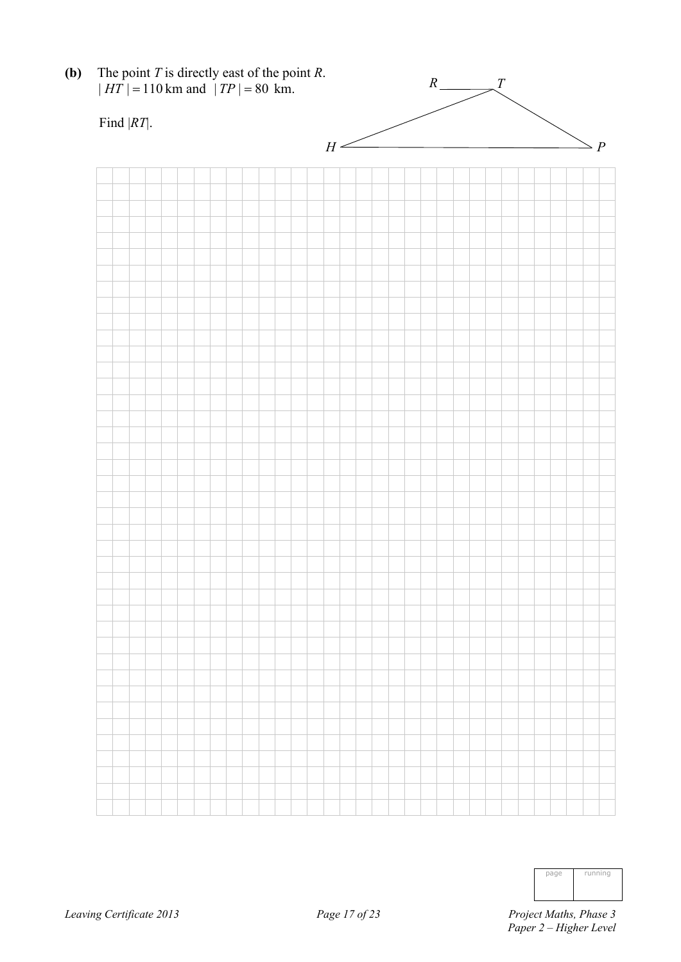

| page | running |
|------|---------|
|      |         |
|      |         |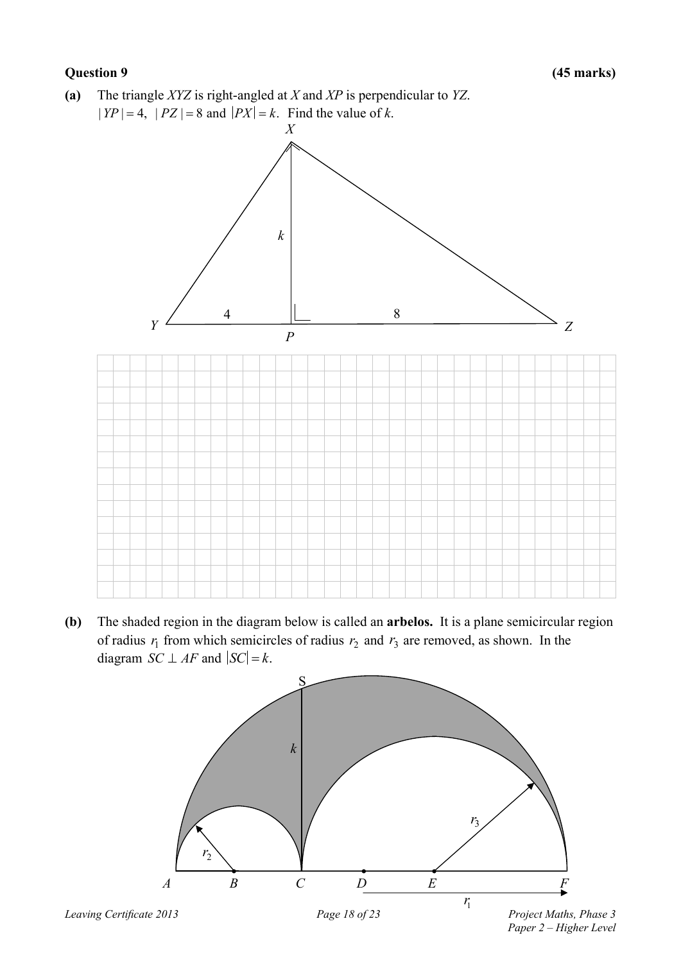**(a)** The triangle *XYZ* is right-angled at *X* and *XP* is perpendicular to *YZ*.  $|YP| = 4$ ,  $|PZ| = 8$  and  $|PX| = k$ . Find the value of *k*.



**(b)** The shaded region in the diagram below is called an **arbelos.** It is a plane semicircular region of radius  $r_1$  from which semicircles of radius  $r_2$  and  $r_3$  are removed, as shown. In the diagram *SC*  $\perp$  *AF* and  $|SC| = k$ .

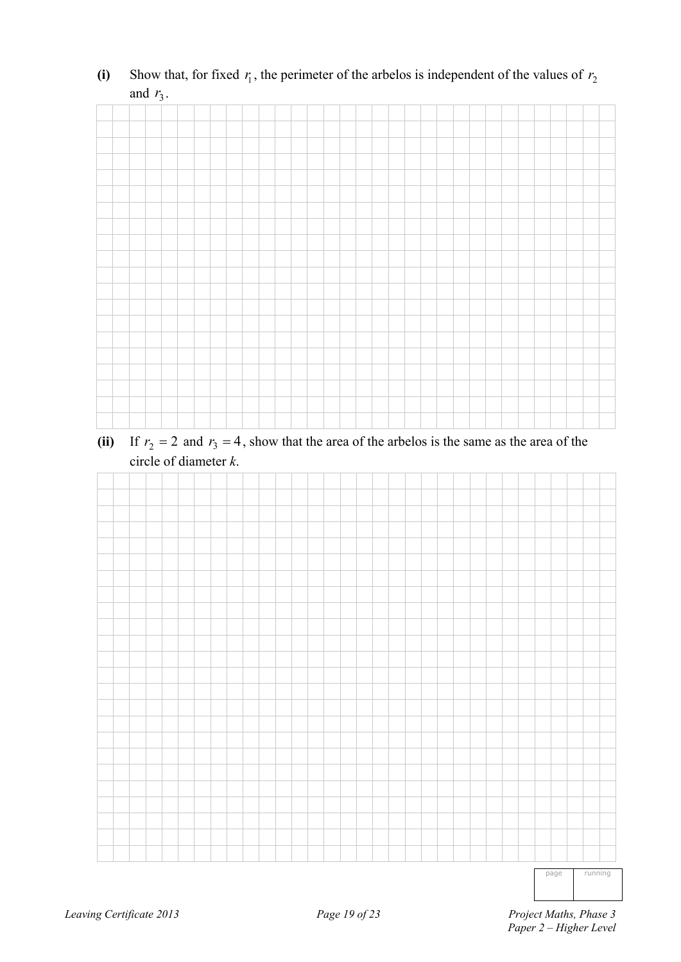|  |  | $\mathcal{L}$ |  |  |  |  |  |  |  |  |  |  |  |  |  |  |
|--|--|---------------|--|--|--|--|--|--|--|--|--|--|--|--|--|--|
|  |  |               |  |  |  |  |  |  |  |  |  |  |  |  |  |  |
|  |  |               |  |  |  |  |  |  |  |  |  |  |  |  |  |  |
|  |  |               |  |  |  |  |  |  |  |  |  |  |  |  |  |  |
|  |  |               |  |  |  |  |  |  |  |  |  |  |  |  |  |  |
|  |  |               |  |  |  |  |  |  |  |  |  |  |  |  |  |  |
|  |  |               |  |  |  |  |  |  |  |  |  |  |  |  |  |  |
|  |  |               |  |  |  |  |  |  |  |  |  |  |  |  |  |  |
|  |  |               |  |  |  |  |  |  |  |  |  |  |  |  |  |  |
|  |  |               |  |  |  |  |  |  |  |  |  |  |  |  |  |  |
|  |  |               |  |  |  |  |  |  |  |  |  |  |  |  |  |  |
|  |  |               |  |  |  |  |  |  |  |  |  |  |  |  |  |  |
|  |  |               |  |  |  |  |  |  |  |  |  |  |  |  |  |  |
|  |  |               |  |  |  |  |  |  |  |  |  |  |  |  |  |  |
|  |  |               |  |  |  |  |  |  |  |  |  |  |  |  |  |  |
|  |  |               |  |  |  |  |  |  |  |  |  |  |  |  |  |  |
|  |  |               |  |  |  |  |  |  |  |  |  |  |  |  |  |  |
|  |  |               |  |  |  |  |  |  |  |  |  |  |  |  |  |  |
|  |  |               |  |  |  |  |  |  |  |  |  |  |  |  |  |  |
|  |  |               |  |  |  |  |  |  |  |  |  |  |  |  |  |  |
|  |  |               |  |  |  |  |  |  |  |  |  |  |  |  |  |  |
|  |  |               |  |  |  |  |  |  |  |  |  |  |  |  |  |  |

(i) Show that, for fixed  $r_1$ , the perimeter of the arbelos is independent of the values of  $r_2$ and  $r_3$ .

(ii) If  $r_2 = 2$  and  $r_3 = 4$ , show that the area of the arbelos is the same as the area of the circle of diameter *k*.



page running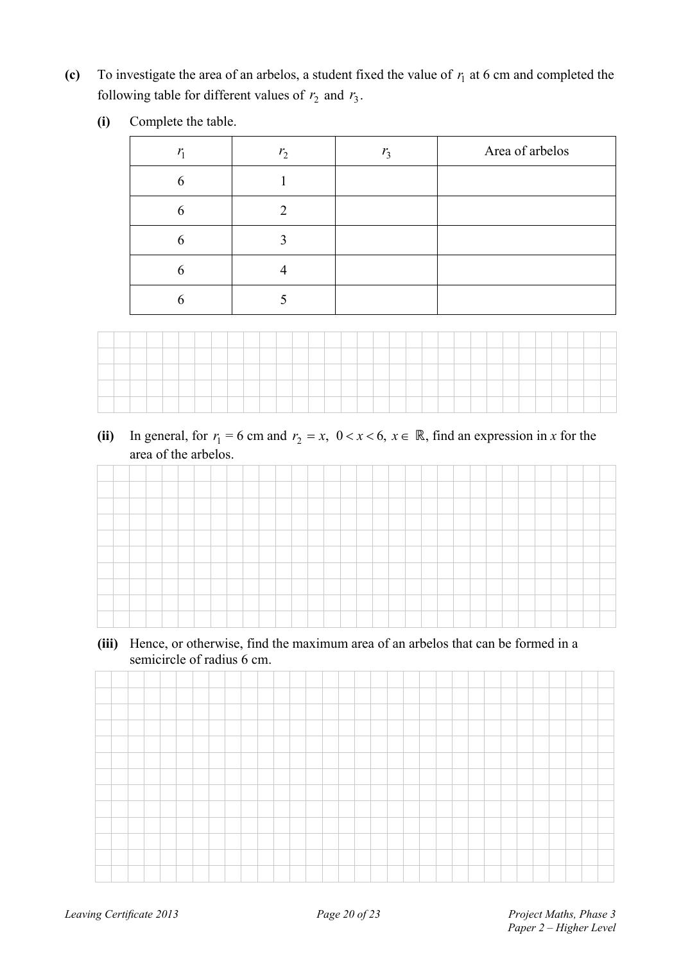(c) To investigate the area of an arbelos, a student fixed the value of  $r_1$  at 6 cm and completed the following table for different values of  $r_2$  and  $r_3$ .

| (i)<br>Complete the table. |  |
|----------------------------|--|
|----------------------------|--|

| $r_{1}$ | r <sub>2</sub> | $r_{3}$ | Area of arbelos |
|---------|----------------|---------|-----------------|
| 6       |                |         |                 |
| 6       | ∍              |         |                 |
| 6       |                |         |                 |
| h       |                |         |                 |
| h       |                |         |                 |



(ii) In general, for  $r_1 = 6$  cm and  $r_2 = x$ ,  $0 < x < 6$ ,  $x \in \mathbb{R}$ , find an expression in *x* for the area of the arbelos.

**(iii)** Hence, or otherwise, find the maximum area of an arbelos that can be formed in a semicircle of radius 6 cm.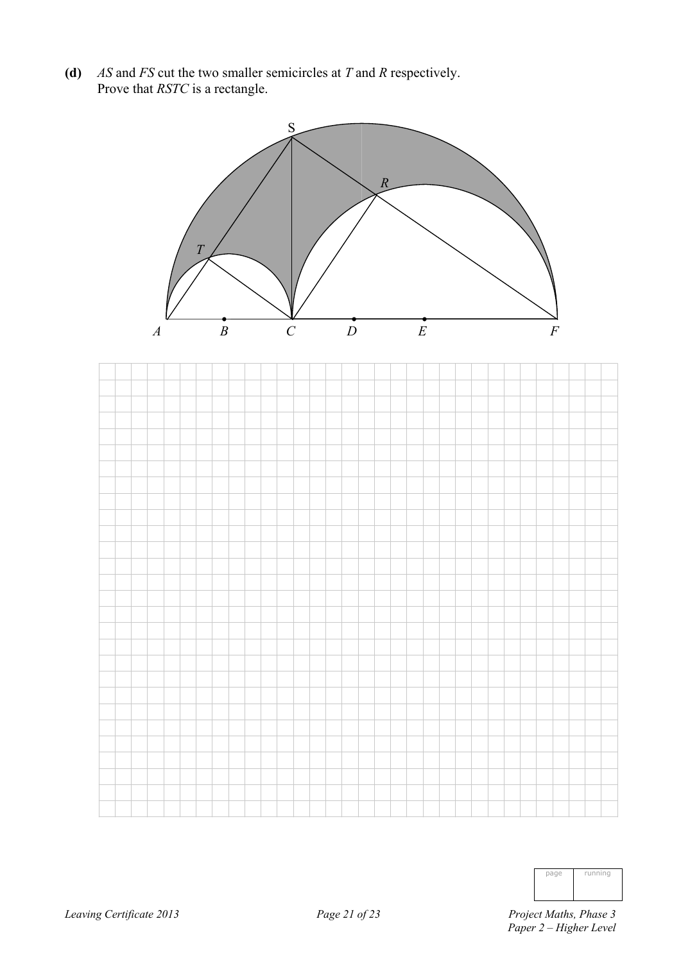**(d)** *AS* and *FS* cut the two smaller semicircles at *T* and *R* respectively. Prove that *RSTC* is a rectangle.



| page | running |
|------|---------|
|      |         |
|      |         |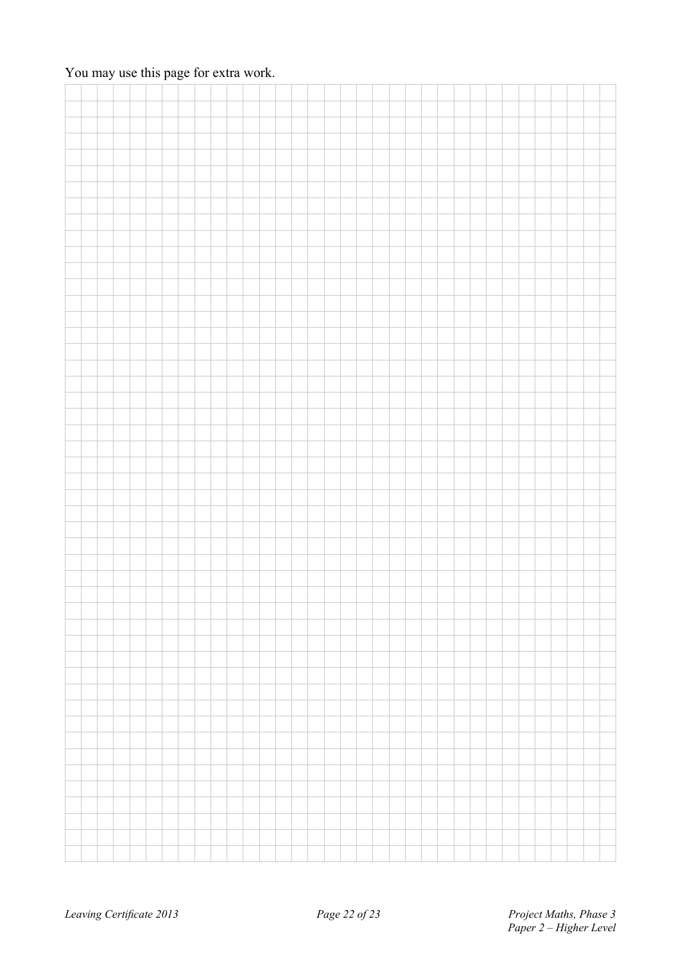### You may use this page for extra work.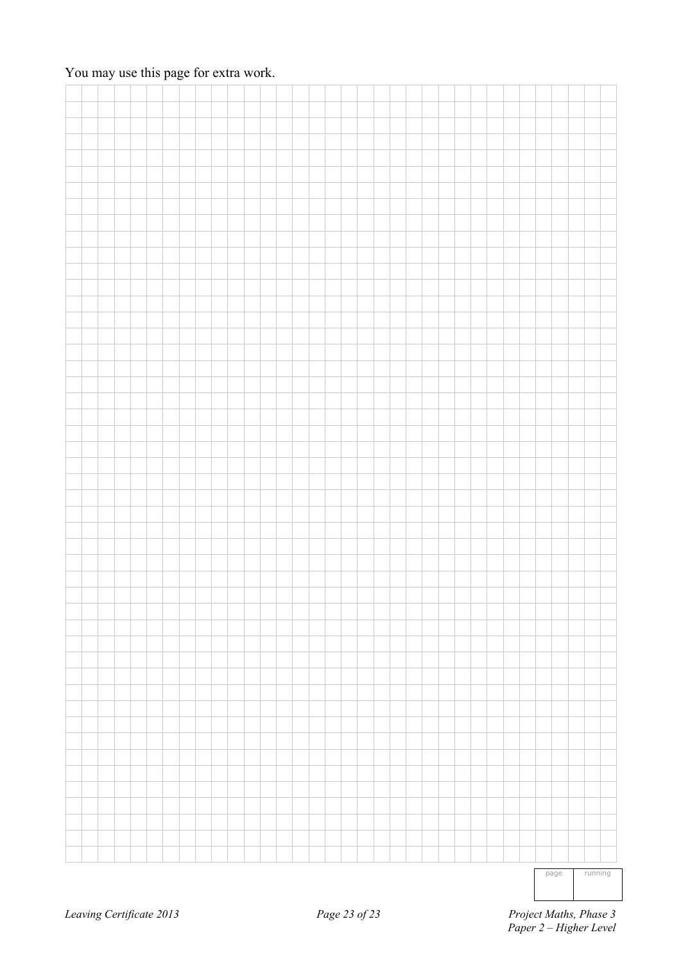### You may use this page for extra work.

|  |  |  |  |  |  |  |  |  |  |  |  |  |  | _______ |  |  |
|--|--|--|--|--|--|--|--|--|--|--|--|--|--|---------|--|--|

page running